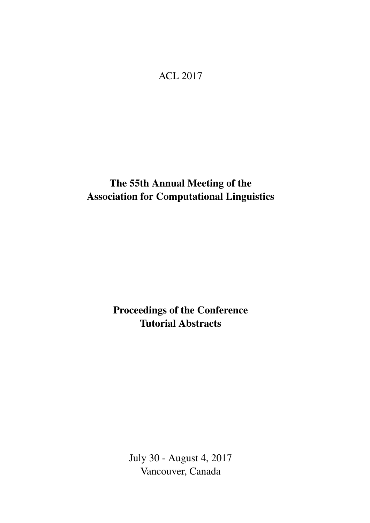<span id="page-0-0"></span>ACL 2017

The 55th Annual Meeting of the Association for Computational Linguistics

> Proceedings of the Conference Tutorial Abstracts

> > July 30 - August 4, 2017 Vancouver, Canada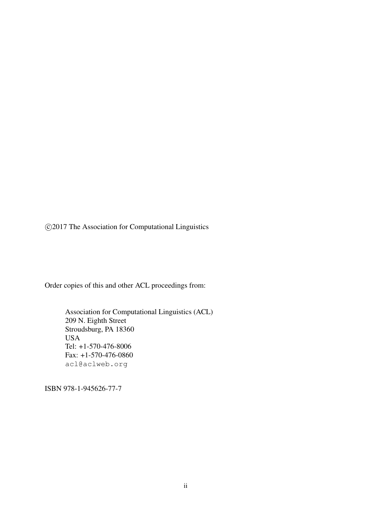c 2017 The Association for Computational Linguistics

Order copies of this and other ACL proceedings from:

Association for Computational Linguistics (ACL) 209 N. Eighth Street Stroudsburg, PA 18360 USA Tel: +1-570-476-8006 Fax: +1-570-476-0860 acl@aclweb.org

ISBN 978-1-945626-77-7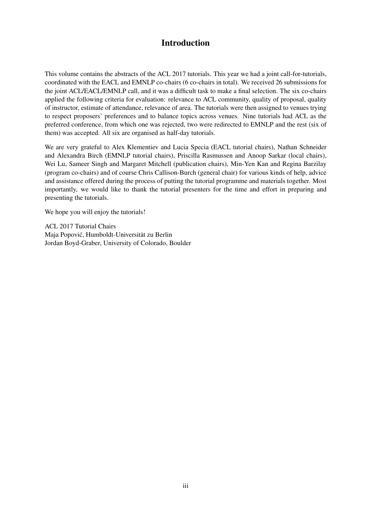### Introduction

This volume contains the abstracts of the ACL 2017 tutorials. This year we had a joint call-for-tutorials, coordinated with the EACL and EMNLP co-chairs (6 co-chairs in total). We received 26 submissions for the joint ACL/EACL/EMNLP call, and it was a difficult task to make a final selection. The six co-chairs applied the following criteria for evaluation: relevance to ACL community, quality of proposal, quality of instructor, estimate of attendance, relevance of area. The tutorials were then assigned to venues trying to respect proposers' preferences and to balance topics across venues. Nine tutorials had ACL as the preferred conference, from which one was rejected, two were redirected to EMNLP and the rest (six of them) was accepted. All six are organised as half-day tutorials.

We are very grateful to Alex Klementiev and Lucia Specia (EACL tutorial chairs), Nathan Schneider and Alexandra Birch (EMNLP tutorial chairs), Priscilla Rasmussen and Anoop Sarkar (local chairs), Wei Lu, Sameer Singh and Margaret Mitchell (publication chairs), Min-Yen Kan and Regina Barzilay (program co-chairs) and of course Chris Callison-Burch (general chair) for various kinds of help, advice and assistance offered during the process of putting the tutorial programme and materials together. Most importantly, we would like to thank the tutorial presenters for the time and effort in preparing and presenting the tutorials.

We hope you will enjoy the tutorials!

ACL 2017 Tutorial Chairs Maja Popovic, Humboldt-Universität zu Berlin ´ Jordan Boyd-Graber, University of Colorado, Boulder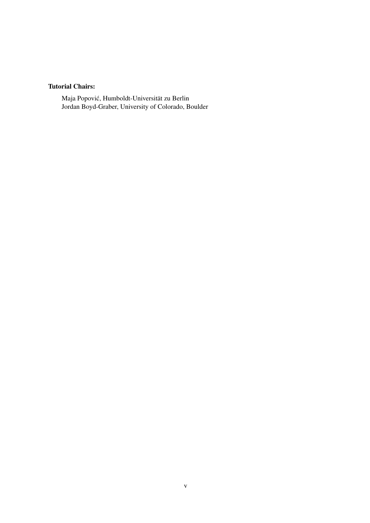### Tutorial Chairs:

Maja Popovic, Humboldt-Universität zu Berlin ´ Jordan Boyd-Graber, University of Colorado, Boulder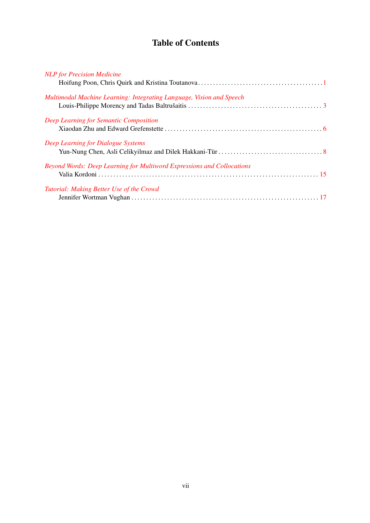# Table of Contents

| <b>NLP</b> for Precision Medicine                                      |  |
|------------------------------------------------------------------------|--|
| Multimodal Machine Learning: Integrating Language, Vision and Speech   |  |
| Deep Learning for Semantic Composition                                 |  |
| Deep Learning for Dialogue Systems                                     |  |
| Beyond Words: Deep Learning for Multiword Expressions and Collocations |  |
| Tutorial: Making Better Use of the Crowd                               |  |